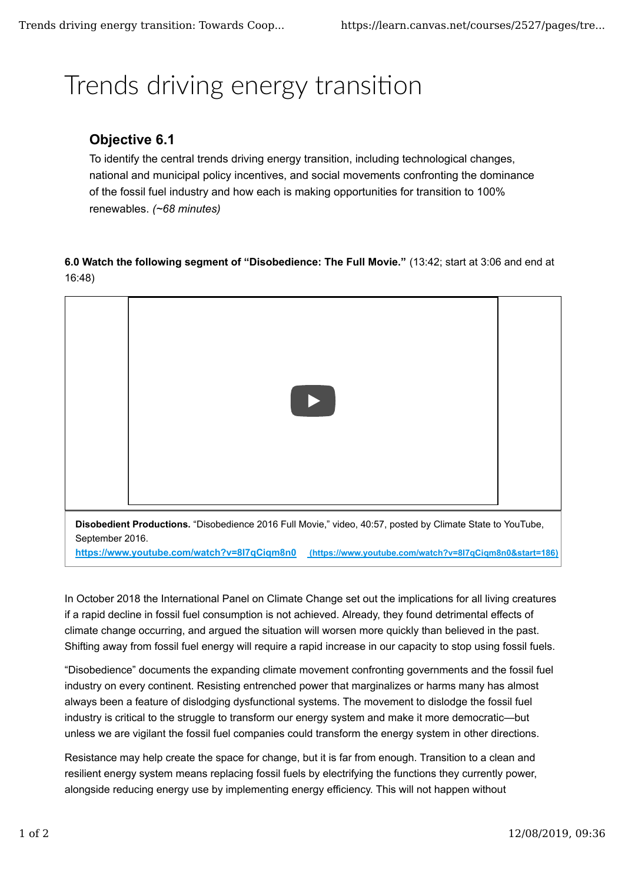## Trends driving energy transition

## **Objective 6.1**

To identify the central trends driving energy transition, including technological changes, national and municipal policy incentives, and social movements confronting the dominance of the fossil fuel industry and how each is making opportunities for transition to 100% renewables. *(~68 minutes)*

**6.0 Watch the following segment of "Disobedience: The Full Movie."** (13:42; start at 3:06 and end at 16:48)



**Disobedient Productions.** "Disobedience 2016 Full Movie," video, 40:57, posted by Climate State to YouTube, September 2016.

**https://www.youtube.com/watch?v=8I7qCiqm8n0 (https://www.youtube.com/watch?v=8I7qCiqm8n0&start=186)**

In October 2018 the International Panel on Climate Change set out the implications for all living creatures if a rapid decline in fossil fuel consumption is not achieved. Already, they found detrimental effects of climate change occurring, and argued the situation will worsen more quickly than believed in the past. Shifting away from fossil fuel energy will require a rapid increase in our capacity to stop using fossil fuels.

"Disobedience" documents the expanding climate movement confronting governments and the fossil fuel industry on every continent. Resisting entrenched power that marginalizes or harms many has almost always been a feature of dislodging dysfunctional systems. The movement to dislodge the fossil fuel industry is critical to the struggle to transform our energy system and make it more democratic—but unless we are vigilant the fossil fuel companies could transform the energy system in other directions.

Resistance may help create the space for change, but it is far from enough. Transition to a clean and resilient energy system means replacing fossil fuels by electrifying the functions they currently power, alongside reducing energy use by implementing energy efficiency. This will not happen without